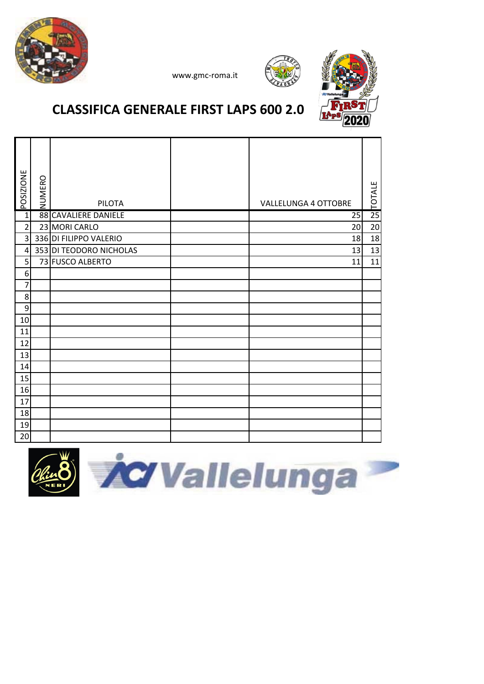

#### **CLASSIFICA GENERALE FIRST LAPS 600 2.0**

| POSIZIONE      | NUMERO | <b>PILOTA</b>           | <b>VALLELUNGA 4 OTTOBRE</b> | TOTALE          |
|----------------|--------|-------------------------|-----------------------------|-----------------|
| $\overline{1}$ |        | 88 CAVALIERE DANIELE    | 25                          | $\overline{25}$ |
| $\overline{2}$ |        | 23 MORI CARLO           | 20                          | 20              |
| $\overline{3}$ |        | 336 DI FILIPPO VALERIO  | 18                          | 18              |
| 4              |        | 353 DI TEODORO NICHOLAS | 13                          | 13              |
| 5              |        | 73 FUSCO ALBERTO        | 11                          | 11              |
| 6              |        |                         |                             |                 |
| 7              |        |                         |                             |                 |
| 8              |        |                         |                             |                 |
| 9              |        |                         |                             |                 |
| 10             |        |                         |                             |                 |
| 11             |        |                         |                             |                 |
| 12             |        |                         |                             |                 |
| 13             |        |                         |                             |                 |
| 14             |        |                         |                             |                 |
| 15             |        |                         |                             |                 |
| 16             |        |                         |                             |                 |
| 17             |        |                         |                             |                 |
| 18             |        |                         |                             |                 |
| 19             |        |                         |                             |                 |
| 20             |        |                         |                             |                 |



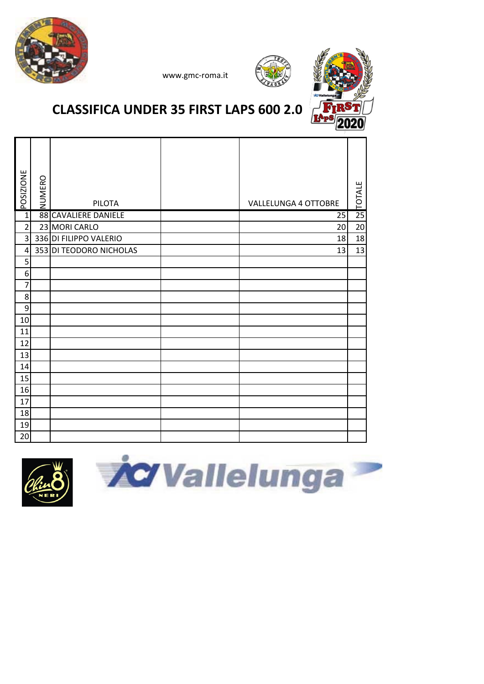





### **CLASSIFICA UNDER 35 FIRST LAPS 600 2.0**

| <b>POSIZIONE</b>        | NUMERO | <b>PILOTA</b>           | <b>VALLELUNGA 4 OTTOBRE</b> | <b>TOTALE</b>   |
|-------------------------|--------|-------------------------|-----------------------------|-----------------|
| $\mathbf{1}$            |        | 88 CAVALIERE DANIELE    | 25                          | $\overline{25}$ |
| $\overline{2}$          |        | 23 MORI CARLO           | 20                          | 20              |
| $\overline{\mathbf{3}}$ |        | 336 DI FILIPPO VALERIO  | 18                          | 18              |
| 4                       |        | 353 DI TEODORO NICHOLAS | 13                          | 13              |
| 5                       |        |                         |                             |                 |
| 6                       |        |                         |                             |                 |
| 7                       |        |                         |                             |                 |
| 8                       |        |                         |                             |                 |
| 9                       |        |                         |                             |                 |
| 10                      |        |                         |                             |                 |
| 11                      |        |                         |                             |                 |
| 12                      |        |                         |                             |                 |
| 13                      |        |                         |                             |                 |
| 14                      |        |                         |                             |                 |
| 15                      |        |                         |                             |                 |
| 16                      |        |                         |                             |                 |
| 17                      |        |                         |                             |                 |
| 18                      |        |                         |                             |                 |
| 19                      |        |                         |                             |                 |
| 20                      |        |                         |                             |                 |



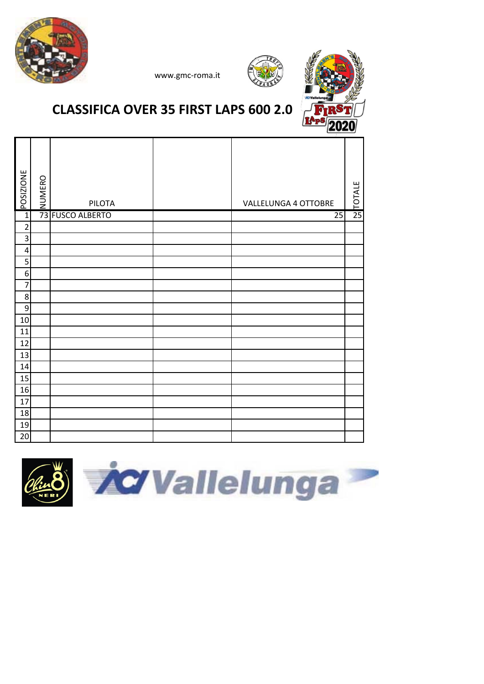



## **CLASSIFICA OVER 35 FIRST LAPS 600 2.0**

www.gmc‐roma.it

| <b>POSIZIONE</b> | NUMERO | PILOTA           | VALLELUNGA 4 OTTOBRE | TOTALE |
|------------------|--------|------------------|----------------------|--------|
| $\mathbf{1}$     |        | 73 FUSCO ALBERTO | 25                   | 25     |
| $\overline{2}$   |        |                  |                      |        |
| 3                |        |                  |                      |        |
| $\overline{a}$   |        |                  |                      |        |
| 5                |        |                  |                      |        |
| 6                |        |                  |                      |        |
| $\overline{7}$   |        |                  |                      |        |
| $\bf 8$          |        |                  |                      |        |
| 9                |        |                  |                      |        |
| 10               |        |                  |                      |        |
| 11               |        |                  |                      |        |
| 12               |        |                  |                      |        |
| 13               |        |                  |                      |        |
| 14               |        |                  |                      |        |
| 15               |        |                  |                      |        |
| 16               |        |                  |                      |        |
| 17               |        |                  |                      |        |
| 18               |        |                  |                      |        |
| 19               |        |                  |                      |        |
| 20               |        |                  |                      |        |

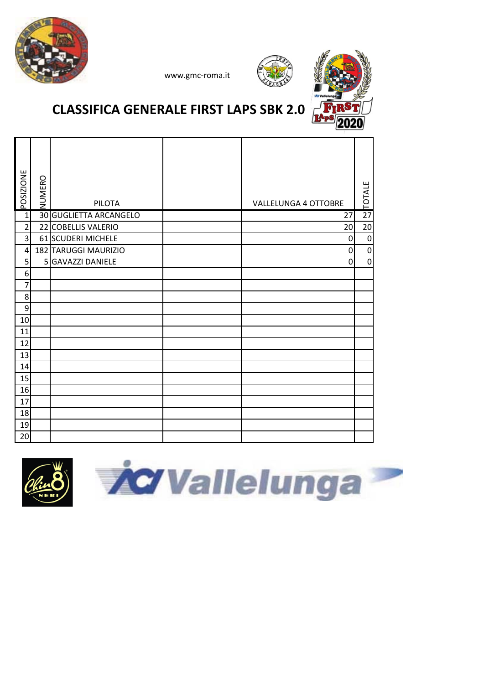





# **CLASSIFICA GENERALE FIRST LAPS SBK 2.0**

| POSIZIONE      | NUMERO | <b>PILOTA</b>          | <b>VALLELUNGA 4 OTTOBRE</b> | <b>TOTALE</b>    |
|----------------|--------|------------------------|-----------------------------|------------------|
| $\overline{1}$ |        | 30 GUGLIETTA ARCANGELO | 27                          | $\overline{27}$  |
| $\overline{2}$ |        | 22 COBELLIS VALERIO    | 20                          | 20               |
| 3              |        | 61 SCUDERI MICHELE     | $\mathbf 0$                 | $\boldsymbol{0}$ |
| $\overline{4}$ |        | 182 TARUGGI MAURIZIO   | 0                           | $\mathbf 0$      |
| 5              |        | 5 GAVAZZI DANIELE      | $\Omega$                    | $\mathbf 0$      |
| 6              |        |                        |                             |                  |
| 7              |        |                        |                             |                  |
| 8              |        |                        |                             |                  |
| 9              |        |                        |                             |                  |
| 10             |        |                        |                             |                  |
| 11             |        |                        |                             |                  |
| 12             |        |                        |                             |                  |
| 13             |        |                        |                             |                  |
| 14             |        |                        |                             |                  |
| 15             |        |                        |                             |                  |
| 16             |        |                        |                             |                  |
| 17             |        |                        |                             |                  |
| 18             |        |                        |                             |                  |
| 19             |        |                        |                             |                  |
| 20             |        |                        |                             |                  |



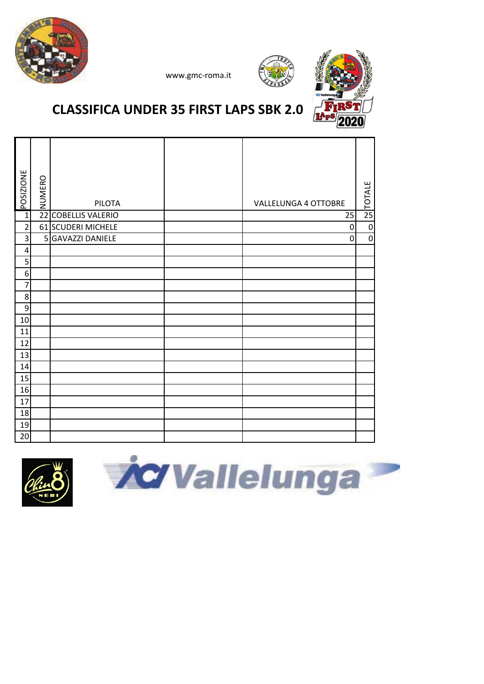





# **CLASSIFICA UNDER 35 FIRST LAPS SBK 2.0**

| <b>POSIZIONE</b>        | NUMERO          | <b>PILOTA</b>           | VALLELUNGA 4 OTTOBRE | <b>POTALE</b> |
|-------------------------|-----------------|-------------------------|----------------------|---------------|
| $\mathbf{1}$            | $\overline{22}$ | <b>COBELLIS VALERIO</b> | 25                   |               |
| $\overline{\mathbf{c}}$ |                 | 61 SCUDERI MICHELE      | $\mathbf 0$          | $\mathbf 0$   |
| 3                       |                 | 5 GAVAZZI DANIELE       | $\mathbf 0$          | $\mathbf 0$   |
| 4                       |                 |                         |                      |               |
| 5                       |                 |                         |                      |               |
| 6                       |                 |                         |                      |               |
| 7                       |                 |                         |                      |               |
| 8                       |                 |                         |                      |               |
| 9                       |                 |                         |                      |               |
| 10                      |                 |                         |                      |               |
| 11                      |                 |                         |                      |               |
| 12                      |                 |                         |                      |               |
| 13                      |                 |                         |                      |               |
| 14                      |                 |                         |                      |               |
| 15                      |                 |                         |                      |               |
| 16                      |                 |                         |                      |               |
| 17                      |                 |                         |                      |               |
| 18                      |                 |                         |                      |               |
| 19                      |                 |                         |                      |               |
| 20                      |                 |                         |                      |               |